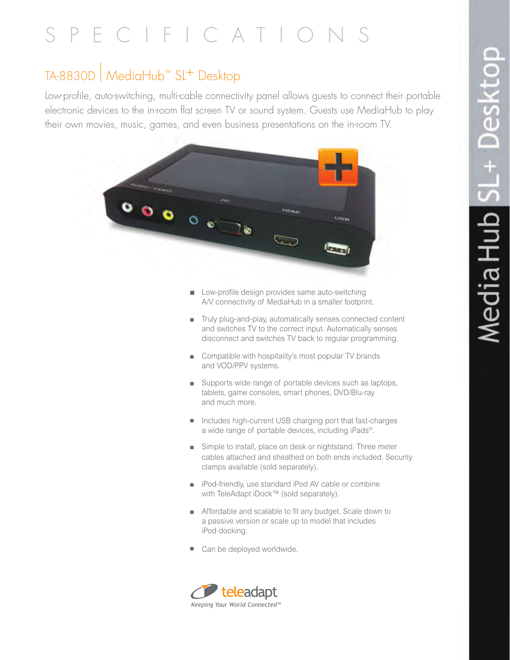# SPECIFICATION

### TA-8830D | MediaHub™ SL+ Desktop

Low-profile, auto-switching, multi-cable connectivity panel allows guests to connect their portable electronic devices to the in-room flat screen TV or sound system. Guests use MediaHub to play their own movies, music, games, and even business presentations on the in-room TV.



- $\Box$  Low-profile design provides same auto-switching A/V connectivity of MediaHub in a smaller footprint.
- Truly plug-and-play, automatically senses connected content and switches TV to the correct input. Automatically senses disconnect and switches TV back to regular programming.
- Compatible with hospitality's most popular TV brands and VOD/PPV systems.
- Supports wide range of portable devices such as laptops, tablets, game consoles, smart phones, DVD/Blu-ray and much more.
- Includes high-current USB charging port that fast-charges a wide range of portable devices, including iPads®.
- Simple to install, place on desk or nightstand. Three meter cables attached and sheathed on both ends included. Security clamps available (sold separately).
- iPod-friendly, use standard iPod AV cable or combine with TeleAdapt iDock™ (sold separately).
- **n** Affordable and scalable to fit any budget. Scale down to a passive version or scale up to model that includes iPod docking.
- Can be deployed worldwide.